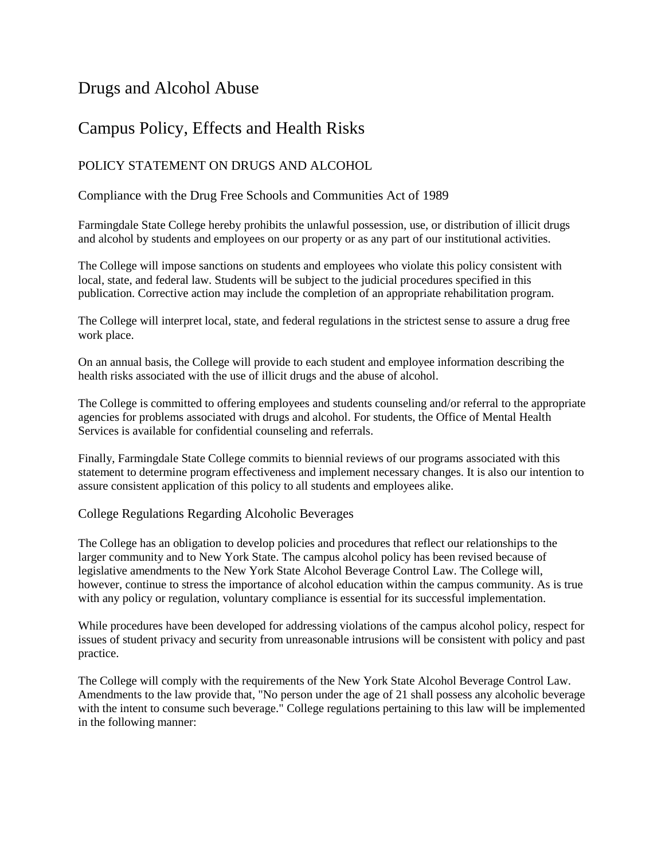# Drugs and Alcohol Abuse

# Campus Policy, Effects and Health Risks

## POLICY STATEMENT ON DRUGS AND ALCOHOL

### Compliance with the Drug Free Schools and Communities Act of 1989

Farmingdale State College hereby prohibits the unlawful possession, use, or distribution of illicit drugs and alcohol by students and employees on our property or as any part of our institutional activities.

The College will impose sanctions on students and employees who violate this policy consistent with local, state, and federal law. Students will be subject to the judicial procedures specified in this publication. Corrective action may include the completion of an appropriate rehabilitation program.

The College will interpret local, state, and federal regulations in the strictest sense to assure a drug free work place.

On an annual basis, the College will provide to each student and employee information describing the health risks associated with the use of illicit drugs and the abuse of alcohol.

The College is committed to offering employees and students counseling and/or referral to the appropriate agencies for problems associated with drugs and alcohol. For students, the Office of Mental Health Services is available for confidential counseling and referrals.

Finally, Farmingdale State College commits to biennial reviews of our programs associated with this statement to determine program effectiveness and implement necessary changes. It is also our intention to assure consistent application of this policy to all students and employees alike.

### College Regulations Regarding Alcoholic Beverages

The College has an obligation to develop policies and procedures that reflect our relationships to the larger community and to New York State. The campus alcohol policy has been revised because of legislative amendments to the New York State Alcohol Beverage Control Law. The College will, however, continue to stress the importance of alcohol education within the campus community. As is true with any policy or regulation, voluntary compliance is essential for its successful implementation.

While procedures have been developed for addressing violations of the campus alcohol policy, respect for issues of student privacy and security from unreasonable intrusions will be consistent with policy and past practice.

The College will comply with the requirements of the New York State Alcohol Beverage Control Law. Amendments to the law provide that, "No person under the age of 21 shall possess any alcoholic beverage with the intent to consume such beverage." College regulations pertaining to this law will be implemented in the following manner: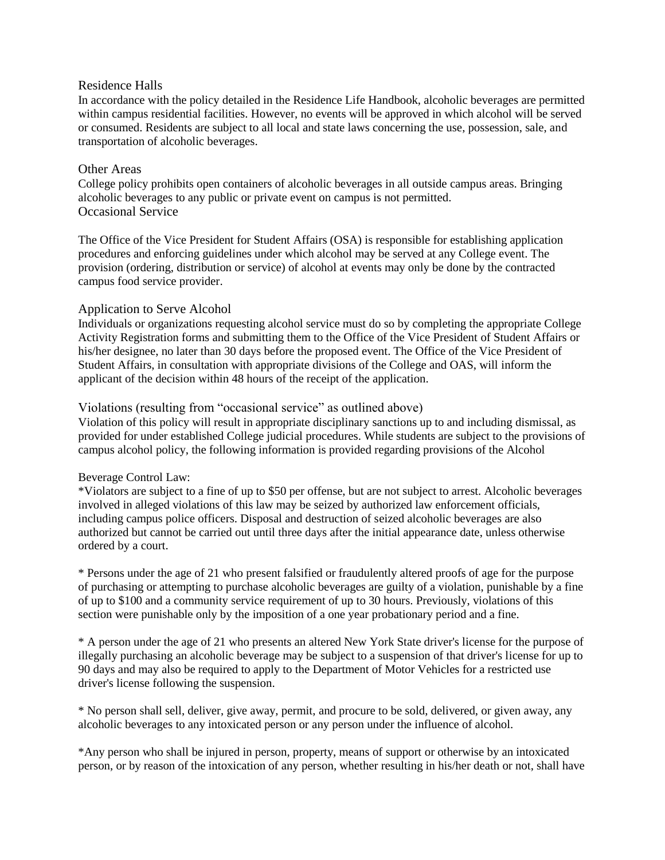#### Residence Halls

In accordance with the policy detailed in the Residence Life Handbook, alcoholic beverages are permitted within campus residential facilities. However, no events will be approved in which alcohol will be served or consumed. Residents are subject to all local and state laws concerning the use, possession, sale, and transportation of alcoholic beverages.

#### Other Areas

College policy prohibits open containers of alcoholic beverages in all outside campus areas. Bringing alcoholic beverages to any public or private event on campus is not permitted. Occasional Service

The Office of the Vice President for Student Affairs (OSA) is responsible for establishing application procedures and enforcing guidelines under which alcohol may be served at any College event. The provision (ordering, distribution or service) of alcohol at events may only be done by the contracted campus food service provider.

#### Application to Serve Alcohol

Individuals or organizations requesting alcohol service must do so by completing the appropriate College Activity Registration forms and submitting them to the Office of the Vice President of Student Affairs or his/her designee, no later than 30 days before the proposed event. The Office of the Vice President of Student Affairs, in consultation with appropriate divisions of the College and OAS, will inform the applicant of the decision within 48 hours of the receipt of the application.

#### Violations (resulting from "occasional service" as outlined above)

Violation of this policy will result in appropriate disciplinary sanctions up to and including dismissal, as provided for under established College judicial procedures. While students are subject to the provisions of campus alcohol policy, the following information is provided regarding provisions of the Alcohol

#### Beverage Control Law:

\*Violators are subject to a fine of up to \$50 per offense, but are not subject to arrest. Alcoholic beverages involved in alleged violations of this law may be seized by authorized law enforcement officials, including campus police officers. Disposal and destruction of seized alcoholic beverages are also authorized but cannot be carried out until three days after the initial appearance date, unless otherwise ordered by a court.

\* Persons under the age of 21 who present falsified or fraudulently altered proofs of age for the purpose of purchasing or attempting to purchase alcoholic beverages are guilty of a violation, punishable by a fine of up to \$100 and a community service requirement of up to 30 hours. Previously, violations of this section were punishable only by the imposition of a one year probationary period and a fine.

\* A person under the age of 21 who presents an altered New York State driver's license for the purpose of illegally purchasing an alcoholic beverage may be subject to a suspension of that driver's license for up to 90 days and may also be required to apply to the Department of Motor Vehicles for a restricted use driver's license following the suspension.

\* No person shall sell, deliver, give away, permit, and procure to be sold, delivered, or given away, any alcoholic beverages to any intoxicated person or any person under the influence of alcohol.

\*Any person who shall be injured in person, property, means of support or otherwise by an intoxicated person, or by reason of the intoxication of any person, whether resulting in his/her death or not, shall have